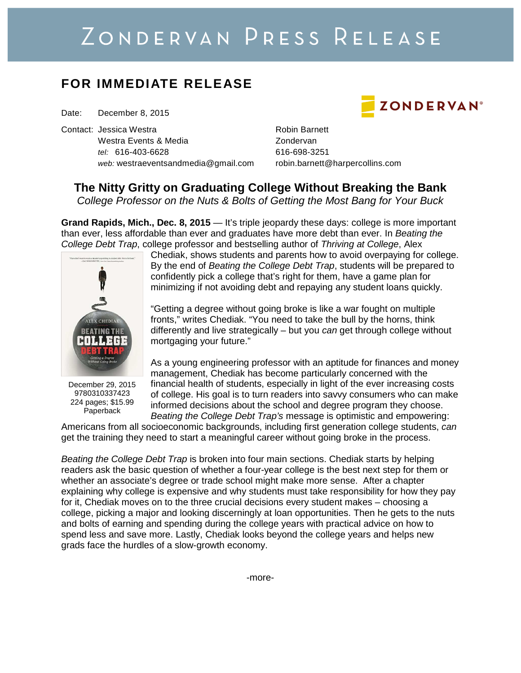# ZONDERVAN PRESS RELEASE

### **FOR IMMEDIATE RELEASE**

Date: December 8, 2015

Contact: Jessica Westra **Robin Barnett** Westra Events & Media **New Youth American** Zondervan tel: 616-403-6628 616-698-3251 web: westraeventsandmedia@gmail.com robin.barnett@harpercollins.com

**ZONDERVAN®** 

## **The Nitty Gritty on Graduating College Without Breaking the Bank**

College Professor on the Nuts & Bolts of Getting the Most Bang for Your Buck

**Grand Rapids, Mich., Dec. 8, 2015** — It's triple jeopardy these days: college is more important than ever, less affordable than ever and graduates have more debt than ever. In Beating the College Debt Trap, college professor and bestselling author of Thriving at College. Alex



December 29, 2015 9780310337423 224 pages; \$15.99 Paperback

Chediak, shows students and parents how to avoid overpaying for college. By the end of Beating the College Debt Trap, students will be prepared to confidently pick a college that's right for them, have a game plan for minimizing if not avoiding debt and repaying any student loans quickly.

"Getting a degree without going broke is like a war fought on multiple fronts," writes Chediak. "You need to take the bull by the horns, think differently and live strategically – but you can get through college without mortgaging your future."

As a young engineering professor with an aptitude for finances and money management, Chediak has become particularly concerned with the financial health of students, especially in light of the ever increasing costs of college. His goal is to turn readers into savvy consumers who can make informed decisions about the school and degree program they choose. Beating the College Debt Trap's message is optimistic and empowering:

Americans from all socioeconomic backgrounds, including first generation college students, can get the training they need to start a meaningful career without going broke in the process.

Beating the College Debt Trap is broken into four main sections. Chediak starts by helping readers ask the basic question of whether a four-year college is the best next step for them or whether an associate's degree or trade school might make more sense. After a chapter explaining why college is expensive and why students must take responsibility for how they pay for it, Chediak moves on to the three crucial decisions every student makes – choosing a college, picking a major and looking discerningly at loan opportunities. Then he gets to the nuts and bolts of earning and spending during the college years with practical advice on how to spend less and save more. Lastly, Chediak looks beyond the college years and helps new grads face the hurdles of a slow-growth economy.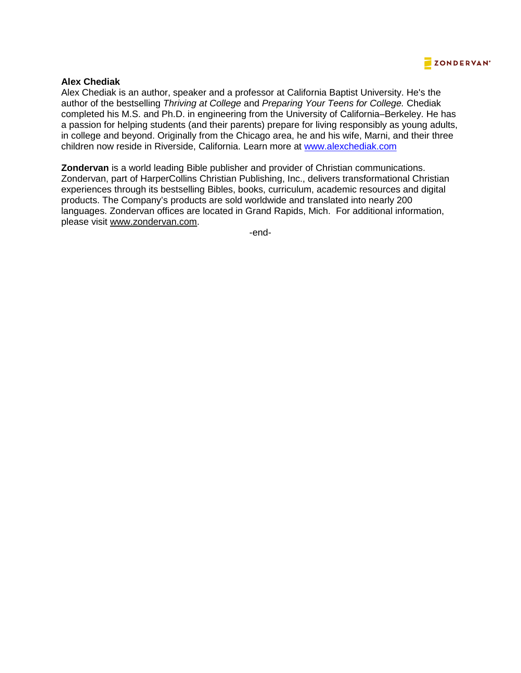

#### **Alex Chediak**

Alex Chediak is an author, speaker and a professor at California Baptist University. He's the author of the bestselling Thriving at College and Preparing Your Teens for College. Chediak completed his M.S. and Ph.D. in engineering from the University of California–Berkeley. He has a passion for helping students (and their parents) prepare for living responsibly as young adults, in college and beyond. Originally from the Chicago area, he and his wife, Marni, and their three children now reside in Riverside, California. Learn more at www.alexchediak.com

**Zondervan** is a world leading Bible publisher and provider of Christian communications. Zondervan, part of HarperCollins Christian Publishing, Inc., delivers transformational Christian experiences through its bestselling Bibles, books, curriculum, academic resources and digital products. The Company's products are sold worldwide and translated into nearly 200 languages. Zondervan offices are located in Grand Rapids, Mich. For additional information, please visit www.zondervan.com.

-end-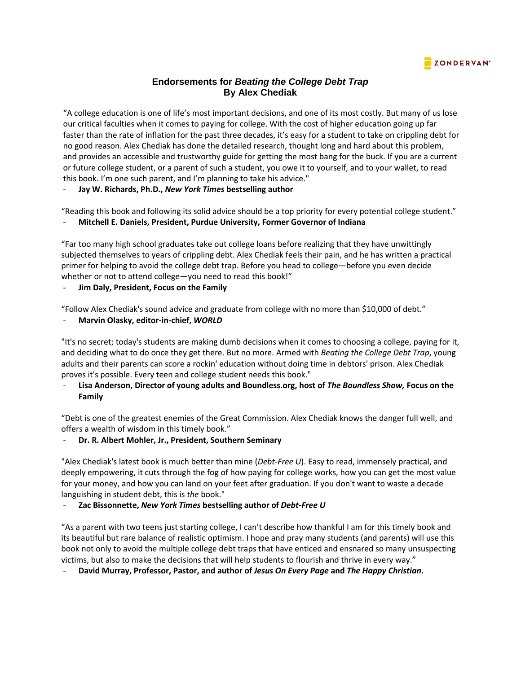#### **ZONDERVAN®**

#### **Endorsements for Beating the College Debt Trap By Alex Chediak**

"A college education is one of life's most important decisions, and one of its most costly. But many of us lose our critical faculties when it comes to paying for college. With the cost of higher education going up far faster than the rate of inflation for the past three decades, it's easy for a student to take on crippling debt for no good reason. Alex Chediak has done the detailed research, thought long and hard about this problem, and provides an accessible and trustworthy guide for getting the most bang for the buck. If you are a current or future college student, or a parent of such a student, you owe it to yourself, and to your wallet, to read this book. I'm one such parent, and I'm planning to take his advice."

- **Jay W. Richards, Ph.D.,** *New York Times* **bestselling author** 

"Reading this book and following its solid advice should be a top priority for every potential college student." - **Mitchell E. Daniels, President, Purdue University, Former Governor of Indiana** 

"Far too many high school graduates take out college loans before realizing that they have unwittingly subjected themselves to years of crippling debt. Alex Chediak feels their pain, and he has written a practical primer for helping to avoid the college debt trap. Before you head to college—before you even decide whether or not to attend college—you need to read this book!"

- **Jim Daly, President, Focus on the Family** 

"Follow Alex Chediak's sound advice and graduate from college with no more than \$10,000 of debt."

#### - **Marvin Olasky, editor-in-chief,** *WORLD*

"It's no secret; today's students are making dumb decisions when it comes to choosing a college, paying for it, and deciding what to do once they get there. But no more. Armed with *Beating the College Debt Trap*, young adults and their parents can score a rockin' education without doing time in debtors' prison. Alex Chediak proves it's possible. Every teen and college student needs this book."

#### - **Lisa Anderson, Director of young adults and Boundless.org, host of** *The Boundless Show,* **Focus on the Family**

"Debt is one of the greatest enemies of the Great Commission. Alex Chediak knows the danger full well, and offers a wealth of wisdom in this timely book."

#### - **Dr. R. Albert Mohler, Jr., President, Southern Seminary**

"Alex Chediak's latest book is much better than mine (*Debt-Free U*). Easy to read, immensely practical, and deeply empowering, it cuts through the fog of how paying for college works, how you can get the most value for your money, and how you can land on your feet after graduation. If you don't want to waste a decade languishing in student debt, this is *the* book."

#### - **Zac Bissonnette,** *New York Times* **bestselling author of** *Debt-Free U*

"As a parent with two teens just starting college, I can't describe how thankful I am for this timely book and its beautiful but rare balance of realistic optimism. I hope and pray many students (and parents) will use this book not only to avoid the multiple college debt traps that have enticed and ensnared so many unsuspecting victims, but also to make the decisions that will help students to flourish and thrive in every way."

- **David Murray, Professor, Pastor, and author of** *Jesus On Every Page* **and** *The Happy Christian***.**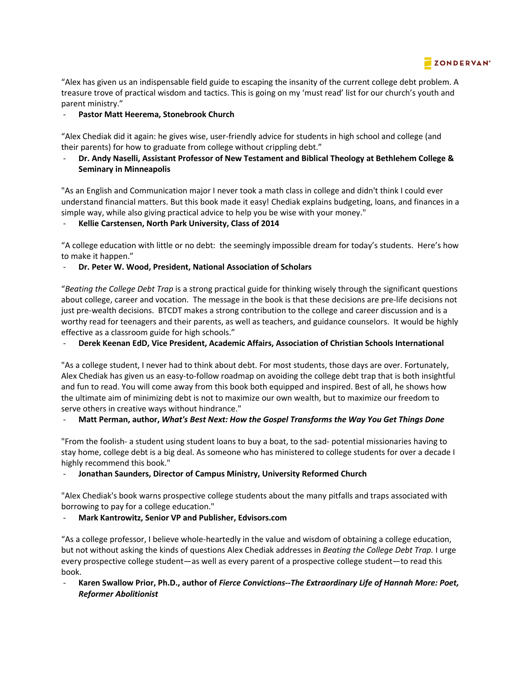

"Alex has given us an indispensable field guide to escaping the insanity of the current college debt problem. A treasure trove of practical wisdom and tactics. This is going on my 'must read' list for our church's youth and parent ministry."

#### Pastor Matt Heerema, Stonebrook Church

"Alex Chediak did it again: he gives wise, user-friendly advice for students in high school and college (and their parents) for how to graduate from college without crippling debt."

- **Dr. Andy Naselli, Assistant Professor of New Testament and Biblical Theology at Bethlehem College & Seminary in Minneapolis** 

"As an English and Communication major I never took a math class in college and didn't think I could ever understand financial matters. But this book made it easy! Chediak explains budgeting, loans, and finances in a simple way, while also giving practical advice to help you be wise with your money."

#### - **Kellie Carstensen, North Park University, Class of 2014**

"A college education with little or no debt: the seemingly impossible dream for today's students. Here's how to make it happen."

#### - **Dr. Peter W. Wood, President, National Association of Scholars**

"*Beating the College Debt Trap* is a strong practical guide for thinking wisely through the significant questions about college, career and vocation. The message in the book is that these decisions are pre-life decisions not just pre-wealth decisions. BTCDT makes a strong contribution to the college and career discussion and is a worthy read for teenagers and their parents, as well as teachers, and guidance counselors. It would be highly effective as a classroom guide for high schools."

- **Derek Keenan EdD, Vice President, Academic Affairs, Association of Christian Schools International** 

"As a college student, I never had to think about debt. For most students, those days are over. Fortunately, Alex Chediak has given us an easy-to-follow roadmap on avoiding the college debt trap that is both insightful and fun to read. You will come away from this book both equipped and inspired. Best of all, he shows how the ultimate aim of minimizing debt is not to maximize our own wealth, but to maximize our freedom to serve others in creative ways without hindrance."

#### - **Matt Perman, author,** *What's Best Next: How the Gospel Transforms the Way You Get Things Done*

"From the foolish- a student using student loans to buy a boat, to the sad- potential missionaries having to stay home, college debt is a big deal. As someone who has ministered to college students for over a decade I highly recommend this book."

#### - **Jonathan Saunders, Director of Campus Ministry, University Reformed Church**

"Alex Chediak's book warns prospective college students about the many pitfalls and traps associated with borrowing to pay for a college education."

#### - **Mark Kantrowitz, Senior VP and Publisher, Edvisors.com**

"As a college professor, I believe whole-heartedly in the value and wisdom of obtaining a college education, but not without asking the kinds of questions Alex Chediak addresses in *Beating the College Debt Trap.* I urge every prospective college student—as well as every parent of a prospective college student—to read this book.

- **Karen Swallow Prior, Ph.D., author of** *Fierce Convictions--The Extraordinary Life of Hannah More: Poet, Reformer Abolitionist*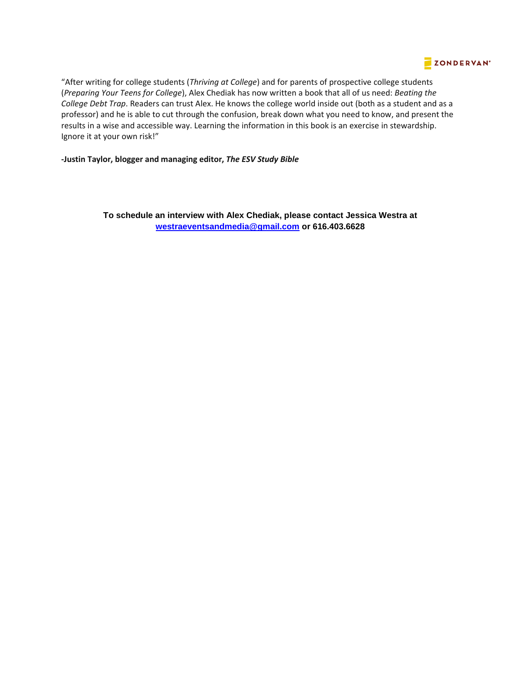#### **ZONDERVAN**\*

"After writing for college students (*Thriving at College*) and for parents of prospective college students (*Preparing Your Teens for College*), Alex Chediak has now written a book that all of us need: *Beating the College Debt Trap*. Readers can trust Alex. He knows the college world inside out (both as a student and as a professor) and he is able to cut through the confusion, break down what you need to know, and present the results in a wise and accessible way. Learning the information in this book is an exercise in stewardship. Ignore it at your own risk!"

**-Justin Taylor, blogger and managing editor,** *The ESV Study Bible*

**To schedule an interview with Alex Chediak, please contact Jessica Westra at westraeventsandmedia@gmail.com or 616.403.6628**